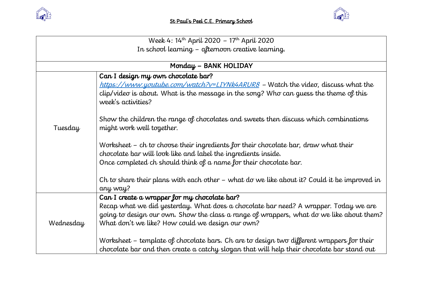



| Week 4: 14th April 2020 - 17th April 2020         |                                                                                                                                                                                                                                                                                                                                                                                                                                                                                 |  |
|---------------------------------------------------|---------------------------------------------------------------------------------------------------------------------------------------------------------------------------------------------------------------------------------------------------------------------------------------------------------------------------------------------------------------------------------------------------------------------------------------------------------------------------------|--|
| In school learning - afternoon creative learning. |                                                                                                                                                                                                                                                                                                                                                                                                                                                                                 |  |
|                                                   |                                                                                                                                                                                                                                                                                                                                                                                                                                                                                 |  |
| Monday - BANK HOLIDAY                             |                                                                                                                                                                                                                                                                                                                                                                                                                                                                                 |  |
| Tuesday                                           | Can I design my own chocolate bar?<br>https://www.youtube.com/watch?v=LIYNk4ARUR8 - Watch the video, discuss what the<br>clip/video is about. What is the message in the song? Who can guess the theme of this<br>week's activities?<br>Show the children the range of chocolates and sweets then discuss which combinations<br>might work well together.                                                                                                                       |  |
|                                                   | Worksheet – ch to choose their ingredients for their chocolate bar, draw what their<br>chocolate bar will look like and label the ingredients inside.<br>Once completed ch should think of a name for their chocolate bar.<br>Ch to share their plans with each other $-$ what do we like about it? Could it be improved in<br>any way?                                                                                                                                         |  |
| Wednesday                                         | Can I create a wrapper for my chocolate bar?<br>Recap what we did yesterday. What does a chocolate bar need? A wrapper. Today we are<br>going to design our own. Show the class a range of wrappers, what do we like about them?<br>What don't we like? How could we design our own?<br>Worksheet – template of chocolate bars. Ch are to design two different wrappers for their<br>chocolate bar and then create a catchy slogan that will help their chocolate bar stand out |  |